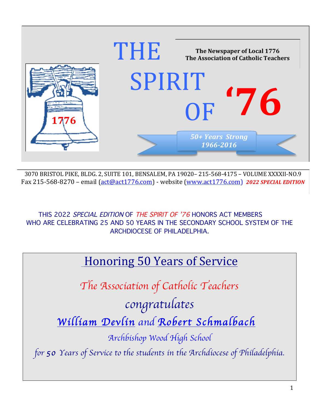

3070 BRISTOL PIKE, BLDG. 2, SUITE 101, BENSALEM, PA 19020-215-568-4175 - VOLUME XXXXII-NO.9 Fax 215-568-8270 - email (act@act1776.com) - website (www.act1776.com) 2022 SPECIAL EDITION

THIS 2022 SPECIAL EDITION OF THE SPIRIT OF '76 HONORS ACT MEMBERS WHO ARE CELEBRATING 25 AND 50 YEARS IN THE SECONDARY SCHOOL SYSTEM OF THE ARCHDIOCESE OF PHILADELPHIA.

## **Honoring 50 Years of Service**

The Association of Catholic Teachers

congratulates William Devlin and Robert Schmalbach

Archbishop Wood High School

for 50 Years of Service to the students in the Archdiocese of Philadelphia.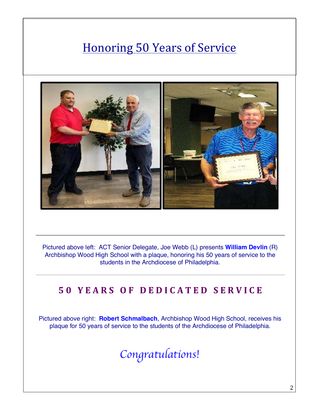# **Honoring 50 Years of Service**



Pictured above left: ACT Senior Delegate, Joe Webb (L) presents **William Devlin** (R) Archbishop Wood High School with a plaque, honoring his 50 years of service to the students in the Archdiocese of Philadelphia.

#### **50 YEARS OF DEDICATED SERVICE**

Pictured above right: **Robert Schmalbach**, Archbishop Wood High School, receives his plaque for 50 years of service to the students of the Archdiocese of Philadelphia.

Congratulations!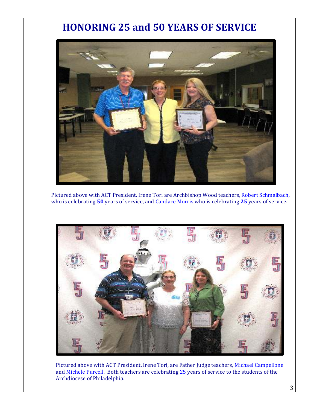#### **HONORING 25 and 50 YEARS OF SERVICE**



Pictured above with ACT President, Irene Tori are Archbishop Wood teachers, Robert Schmalbach, who is celebrating 50 years of service, and Candace Morris who is celebrating 25 years of service.



Pictured above with ACT President, Irene Tori, are Father Judge teachers, Michael Campellone and Michele Purcell. Both teachers are celebrating 25 years of service to the students of the Archdiocese of Philadelphia.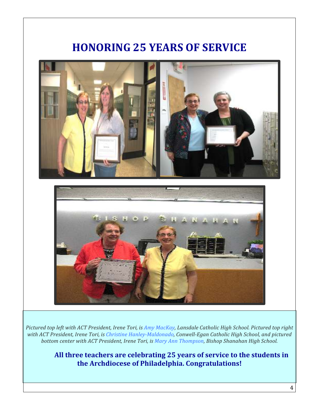

Pictured top left with ACT President, Irene Tori, is Amy MacKay, Lansdale Catholic High School. Pictured top right with ACT President, Irene Tori, is Christine Hanley-Maldonado, Conwell-Egan Catholic High School, and pictured bottom center with ACT President, Irene Tori, is Mary Ann Thompson, Bishop Shanahan High School.

> All three teachers are celebrating 25 years of service to the students in **the Archdiocese of Philadelphia. Congratulations!**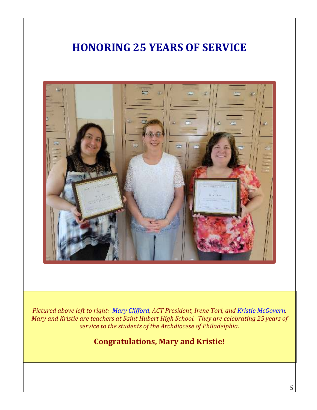

*Pictured above left to right: Mary Clifford, ACT President, Irene Tori, and Kristie McGovern. Mary and Kristie are teachers at Saint Hubert High School. They are celebrating 25 years of service to the students of the Archdiocese of Philadelphia.* 

**Congratulations, Mary and Kristie!**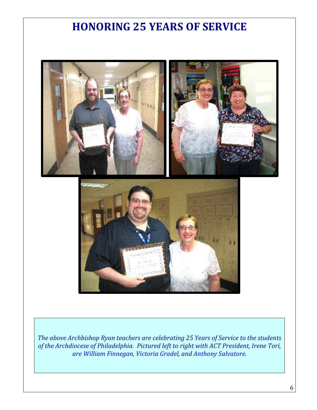

The above Archbishop Ryan teachers are celebrating 25 Years of Service to the students of the Archdiocese of Philadelphia. Pictured left to right with ACT President, Irene Tori, *are William Finnegan, Victoria Gradel, and Anthony Salvatore.*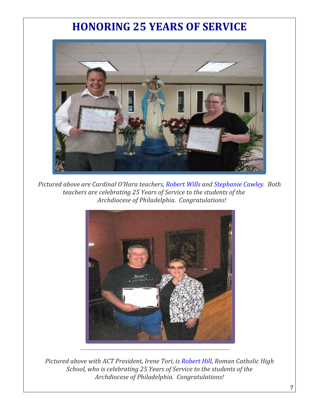

*Pictured above are Cardinal O'Hara teachers, Robert Wills and Stephanie Cawley. Both teachers are celebrating 25 Years of Service to the students of the Archdiocese of Philadelphia. Congratulations!*



*Pictured above with ACT President, Irene Tori, is Robert Hill, Roman Catholic High School, who is celebrating 25 Years of Service to the students of the Archdiocese of Philadelphia. Congratulations!*